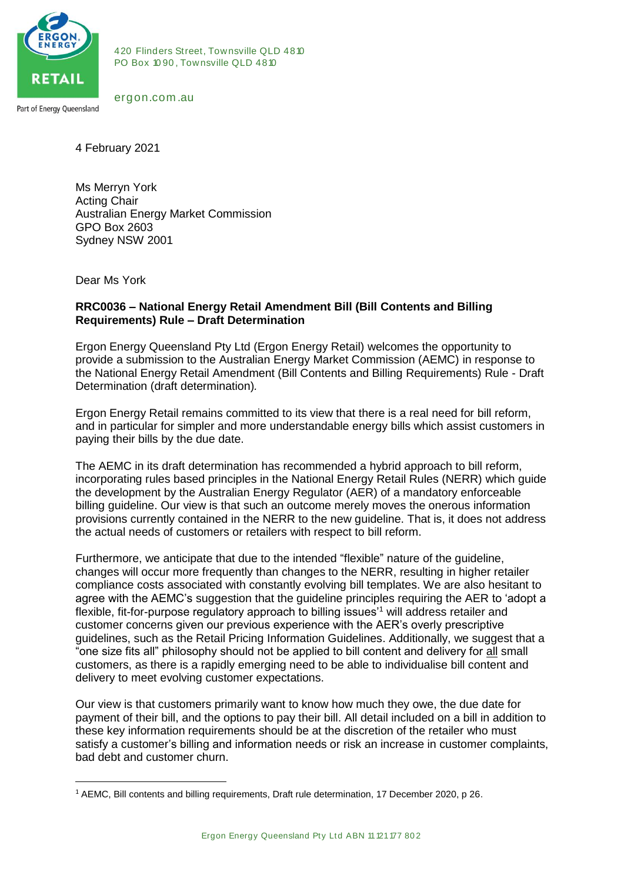

420 Flinders Street, Townsville QLD 4810<br>PO Box 1090, Townsville QLD 4810 420 Flinders Street, Townsville QLI<br>PO Box 1090, Townsville QLD 4810 420 Flinders Stre<br>PO Box 1090, Tov<br>ergon.com .au

4 February 2021

Ms Merryn York Acting Chair Australian Energy Market Commission GPO Box 2603 Sydney NSW 2001

Dear Ms York

**.** 

## **RRC0036 – National Energy Retail Amendment Bill (Bill Contents and Billing Requirements) Rule – Draft Determination**

Ergon Energy Queensland Pty Ltd (Ergon Energy Retail) welcomes the opportunity to provide a submission to the Australian Energy Market Commission (AEMC) in response to the National Energy Retail Amendment (Bill Contents and Billing Requirements) Rule - Draft Determination (draft determination)*.*

Ergon Energy Retail remains committed to its view that there is a real need for bill reform, and in particular for simpler and more understandable energy bills which assist customers in paying their bills by the due date.

The AEMC in its draft determination has recommended a hybrid approach to bill reform, incorporating rules based principles in the National Energy Retail Rules (NERR) which guide the development by the Australian Energy Regulator (AER) of a mandatory enforceable billing guideline. Our view is that such an outcome merely moves the onerous information provisions currently contained in the NERR to the new guideline. That is, it does not address the actual needs of customers or retailers with respect to bill reform.

Furthermore, we anticipate that due to the intended "flexible" nature of the guideline, changes will occur more frequently than changes to the NERR, resulting in higher retailer compliance costs associated with constantly evolving bill templates. We are also hesitant to agree with the AEMC's suggestion that the guideline principles requiring the AER to 'adopt a flexible, fit-for-purpose regulatory approach to billing issues<sup>1</sup> will address retailer and customer concerns given our previous experience with the AER's overly prescriptive guidelines, such as the Retail Pricing Information Guidelines. Additionally, we suggest that a "one size fits all" philosophy should not be applied to bill content and delivery for all small customers, as there is a rapidly emerging need to be able to individualise bill content and delivery to meet evolving customer expectations.

Our view is that customers primarily want to know how much they owe, the due date for payment of their bill, and the options to pay their bill. All detail included on a bill in addition to these key information requirements should be at the discretion of the retailer who must satisfy a customer's billing and information needs or risk an increase in customer complaints, bad debt and customer churn.

<sup>——&</sup>lt;br>ng requirements, Draft rule determination, 17 Deceml<br>Ergon Energy Queensland Pty Ltd ABN 11 121 177 802  $<sup>1</sup>$  AEMC, Bill contents and billing requirements, Draft rule determination, 17 December 2020, p 26.</sup>